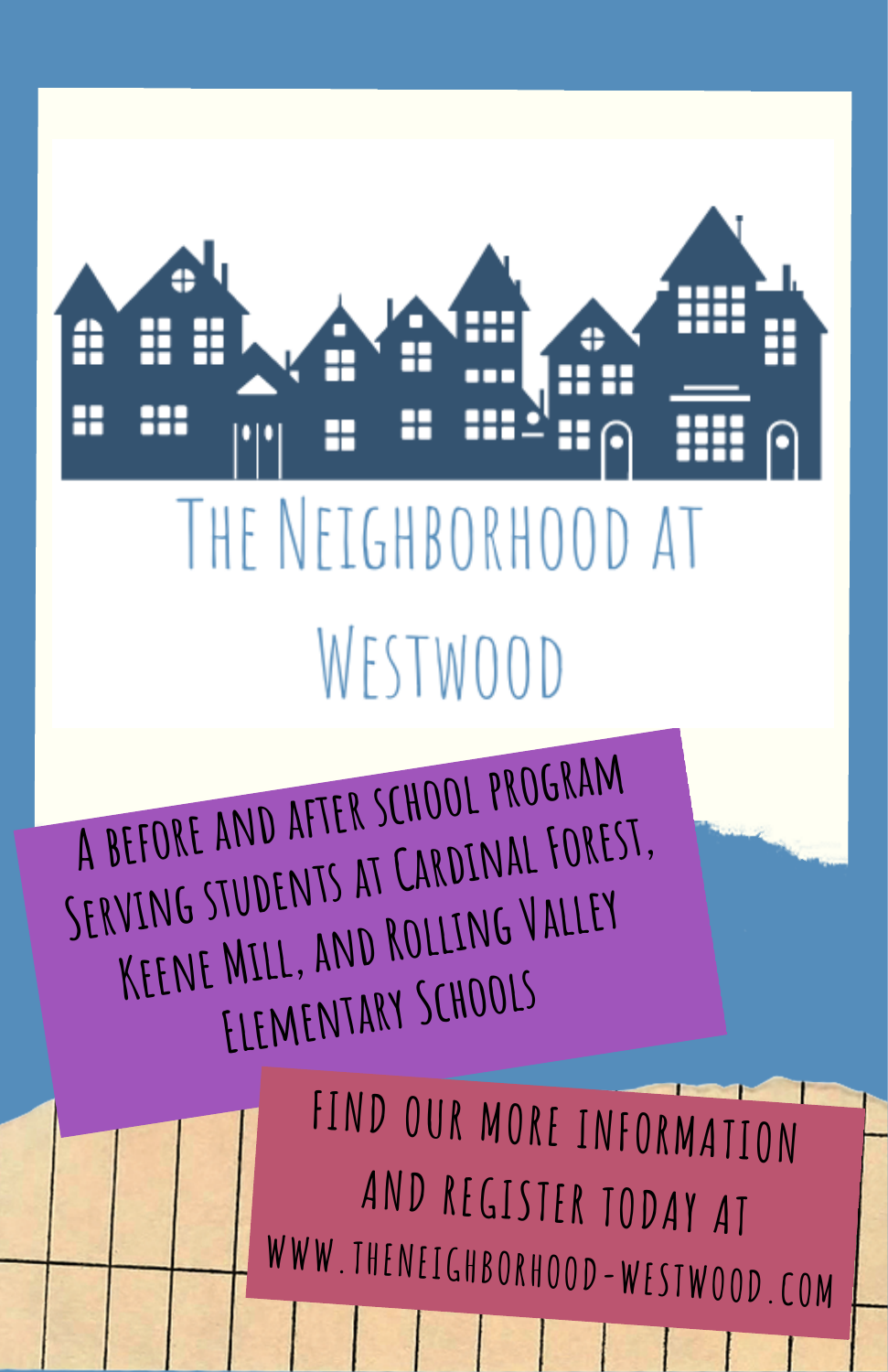H A

## THE NEIGHBORHOOD AT WESTWOOD

**A before and after school program Serving students at Cardinal Forest, Keene Mill, and Rolling Valley Elementary Schools**

> **FIND OUR MORE INFORMATION AND REGISTER TODAY AT WWW.THENEIGHBORHOOD-WESTWOOD.COM**